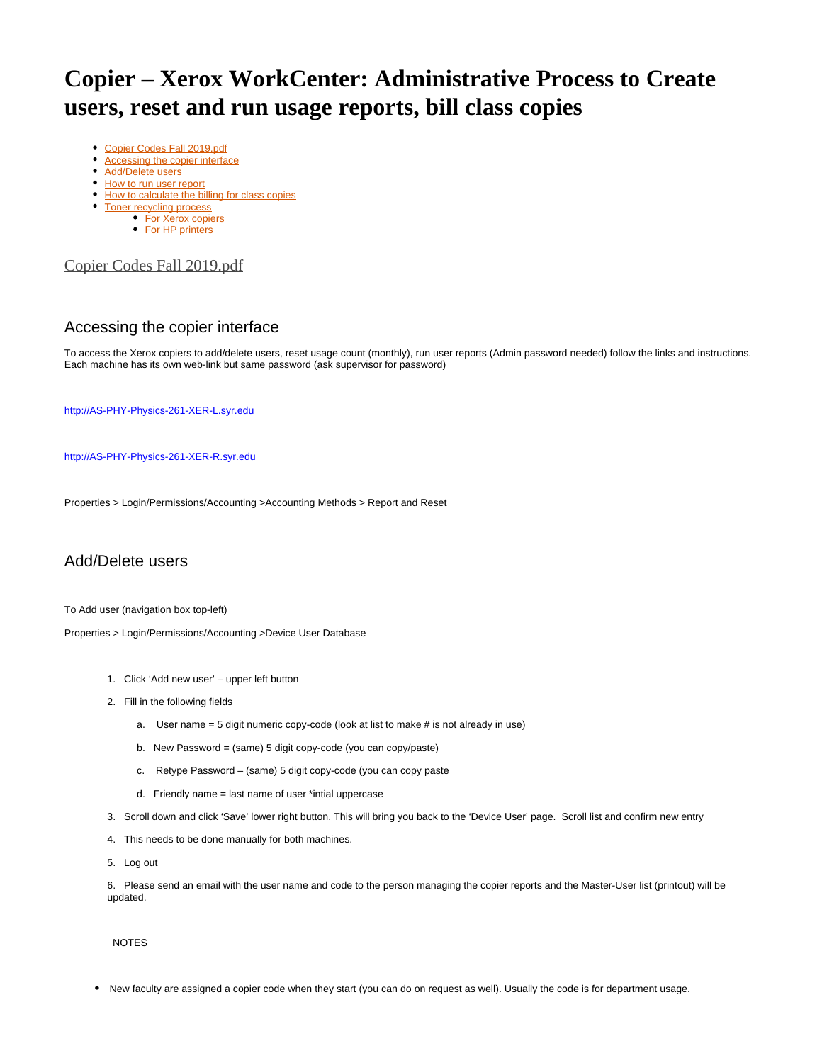# **Copier – Xerox WorkCenter: Administrative Process to Create users, reset and run usage reports, bill class copies**

- [Copier Codes Fall 2019.pdf](#page-0-0)
- [Accessing the copier interface](#page-0-1)
- [Add/Delete users](#page-0-2)
- [How to run user report](#page-1-0)
- [How to calculate the billing for class copies](#page-1-1)
- [Toner recycling process](#page-1-2)
	- [For Xerox copiers](#page-1-3)
	- [For HP printers](#page-1-4)

#### <span id="page-0-0"></span>[Copier Codes Fall 2019.pdf](https://answers.syr.edu/download/attachments/86254360/Copier%20Codes%20Fall%202019.pdf?version=1&modificationDate=1566594886000&api=v2)

## <span id="page-0-1"></span>Accessing the copier interface

To access the Xerox copiers to add/delete users, reset usage count (monthly), run user reports (Admin password needed) follow the links and instructions. Each machine has its own web-link but same password (ask supervisor for password)

[http://AS-PHY-Physics-261-XER-L.syr.edu](http://as-phy-physics-261-xer-l.syr.edu/)

[http://AS-PHY-Physics-261-XER-R.syr.edu](http://as-phy-physics-261-xer-r.syr.edu/)

Properties > Login/Permissions/Accounting >Accounting Methods > Report and Reset

## <span id="page-0-2"></span>Add/Delete users

To Add user (navigation box top-left)

Properties > Login/Permissions/Accounting >Device User Database

- 1. Click 'Add new user' upper left button
- 2. Fill in the following fields
	- a. User name = 5 digit numeric copy-code (look at list to make # is not already in use)
	- b. New Password = (same) 5 digit copy-code (you can copy/paste)
	- c. Retype Password (same) 5 digit copy-code (you can copy paste
	- d. Friendly name = last name of user \*intial uppercase
- 3. Scroll down and click 'Save' lower right button. This will bring you back to the 'Device User' page. Scroll list and confirm new entry
- 4. This needs to be done manually for both machines.
- 5. Log out

6. Please send an email with the user name and code to the person managing the copier reports and the Master-User list (printout) will be updated.

NOTES

New faculty are assigned a copier code when they start (you can do on request as well). Usually the code is for department usage.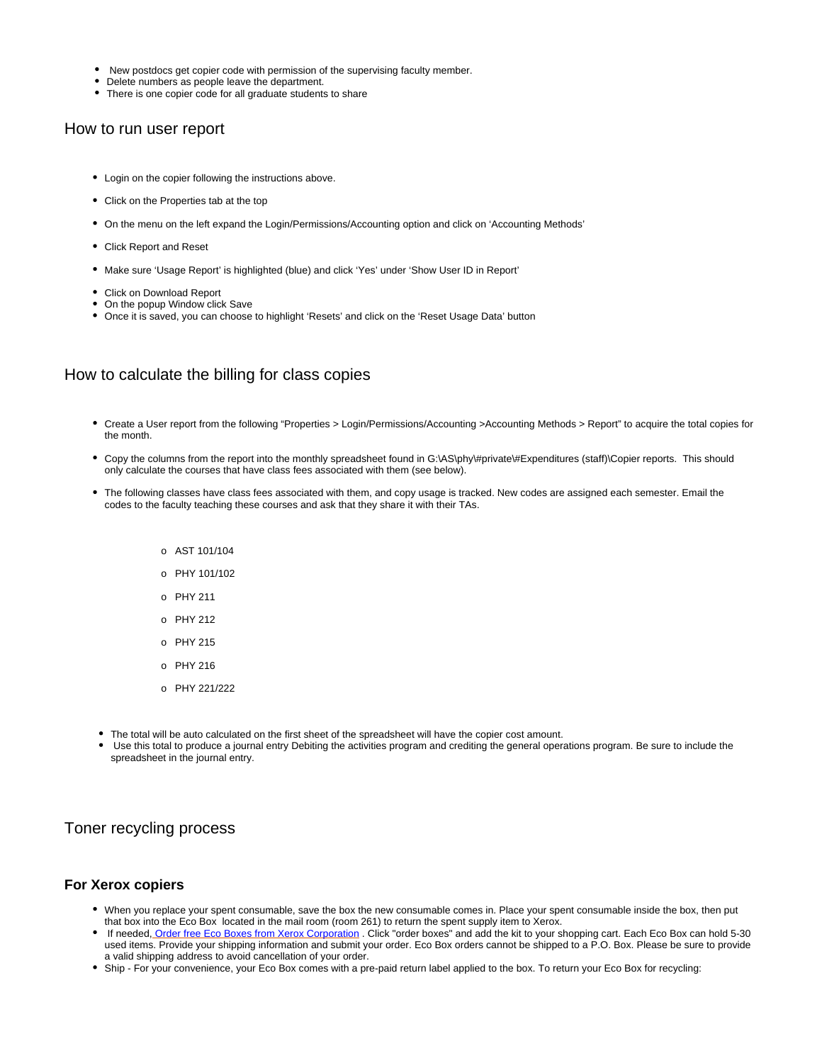- New postdocs get copier code with permission of the supervising faculty member.
- Delete numbers as people leave the department.
- There is one copier code for all graduate students to share

#### <span id="page-1-0"></span>How to run user report

- Login on the copier following the instructions above.
- Click on the Properties tab at the top
- On the menu on the left expand the Login/Permissions/Accounting option and click on 'Accounting Methods'
- Click Report and Reset
- Make sure 'Usage Report' is highlighted (blue) and click 'Yes' under 'Show User ID in Report'
- Click on Download Report
- On the popup Window click Save
- Once it is saved, you can choose to highlight 'Resets' and click on the 'Reset Usage Data' button

#### <span id="page-1-1"></span>How to calculate the billing for class copies

- Create a User report from the following "Properties > Login/Permissions/Accounting >Accounting Methods > Report" to acquire the total copies for the month.
- Copy the columns from the report into the monthly spreadsheet found in G:\AS\phy\#private\#Expenditures (staff)\Copier reports. This should only calculate the courses that have class fees associated with them (see below).
- The following classes have class fees associated with them, and copy usage is tracked. New codes are assigned each semester. Email the codes to the faculty teaching these courses and ask that they share it with their TAs.
	- o AST 101/104
	- o PHY 101/102
	- o PHY 211
	- o PHY 212
	- o PHY 215
	- o PHY 216
	- o PHY 221/222
- The total will be auto calculated on the first sheet of the spreadsheet will have the copier cost amount.
- Use this total to produce a journal entry Debiting the activities program and crediting the general operations program. Be sure to include the spreadsheet in the journal entry.

#### <span id="page-1-2"></span>Toner recycling process

#### <span id="page-1-3"></span>**For Xerox copiers**

- $\bullet$ When you replace your spent consumable, save the box the new consumable comes in. Place your spent consumable inside the box, then put that box into the Eco Box located in the mail room (room 261) to return the spent supply item to Xerox.
- If needed, [Order free Eco Boxes from Xerox Corporation](https://www.xerox.com/perl-bin/product.pl?mode=recycling&XOGlang=en_US&referer=xrx) . Click "order boxes" and add the kit to your shopping cart. Each Eco Box can hold 5-30 used items. Provide your shipping information and submit your order. Eco Box orders cannot be shipped to a P.O. Box. Please be sure to provide a valid shipping address to avoid cancellation of your order.
- <span id="page-1-4"></span>Ship - For your convenience, your Eco Box comes with a pre-paid return label applied to the box. To return your Eco Box for recycling: